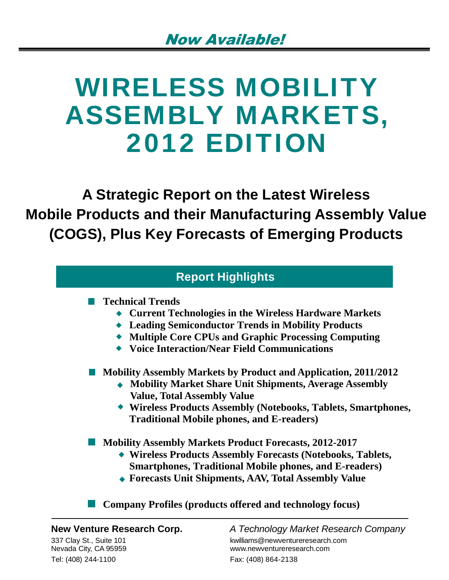# WIRELESS MOBILITY ASSEMBLY MARKETS, 2012 EDITION

**A Strategic Report on the Latest Wireless Mobile Products and their Manufacturing Assembly Value (COGS), Plus Key Forecasts of Emerging Products**

### **Report Highlights**

#### **Technical Trends**

- **Current Technologies in the Wireless Hardware Markets**
- **Leading Semiconductor Trends in Mobility Products**
- **Multiple Core CPUs and Graphic Processing Computing**
- **Voice Interaction/Near Field Communications**
- **Mobility Assembly Markets by Product and Application, 2011/2012**
	- **Mobility Market Share Unit Shipments, Average Assembly Value, Total Assembly Value**
	- **Wireless Products Assembly (Notebooks, Tablets, Smartphones, Traditional Mobile phones, and E-readers)**

**Mobility Assembly Markets Product Forecasts, 2012-2017** 

- **Wireless Products Assembly Forecasts (Notebooks, Tablets, Smartphones, Traditional Mobile phones, and E-readers)**
- **Forecasts Unit Shipments, AAV, Total Assembly Value**

**Company Profiles (products offered and technology focus)**

Tel: (408) 244-1100 Fax: (408) 864-2138

**New Venture Research Corp.** *A Technology Market Research Company*

337 Clay St., Suite 101 kwilliams@newventureresearch.com Nevada City, CA 95959 www.newventureresearch.com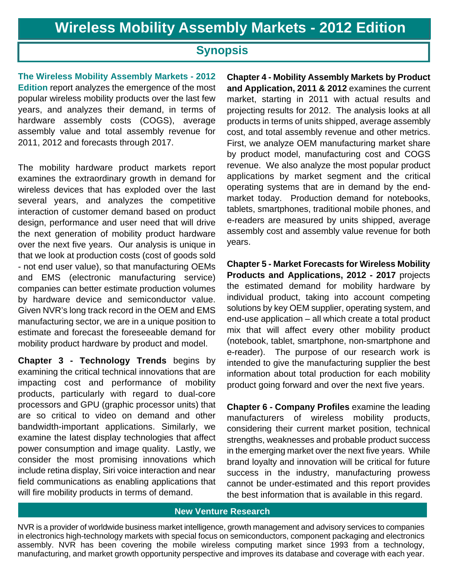### **Synopsis**

**The Wireless Mobility Assembly Markets - 2012 Edition** report analyzes the emergence of the most popular wireless mobility products over the last few years, and analyzes their demand, in terms of hardware assembly costs (COGS), average assembly value and total assembly revenue for 2011, 2012 and forecasts through 2017.

The mobility hardware product markets report examines the extraordinary growth in demand for wireless devices that has exploded over the last several years, and analyzes the competitive interaction of customer demand based on product design, performance and user need that will drive the next generation of mobility product hardware over the next five years. Our analysis is unique in that we look at production costs (cost of goods sold - not end user value), so that manufacturing OEMs and EMS (electronic manufacturing service) companies can better estimate production volumes by hardware device and semiconductor value. Given NVR's long track record in the OEM and EMS manufacturing sector, we are in a unique position to estimate and forecast the foreseeable demand for mobility product hardware by product and model.

**Chapter 3 - Technology Trends** begins by examining the critical technical innovations that are impacting cost and performance of mobility products, particularly with regard to dual-core processors and GPU (graphic processor units) that are so critical to video on demand and other bandwidth-important applications. Similarly, we examine the latest display technologies that affect power consumption and image quality. Lastly, we consider the most promising innovations which include retina display, Siri voice interaction and near field communications as enabling applications that will fire mobility products in terms of demand.

**Chapter 4 - Mobility Assembly Markets by Product and Application, 2011 & 2012** examines the current market, starting in 2011 with actual results and projecting results for 2012. The analysis looks at all products in terms of units shipped, average assembly cost, and total assembly revenue and other metrics. First, we analyze OEM manufacturing market share by product model, manufacturing cost and COGS revenue. We also analyze the most popular product applications by market segment and the critical operating systems that are in demand by the endmarket today. Production demand for notebooks, tablets, smartphones, traditional mobile phones, and e-readers are measured by units shipped, average assembly cost and assembly value revenue for both years.

**Chapter 5 - Market Forecasts for Wireless Mobility Products and Applications, 2012 - 2017** projects the estimated demand for mobility hardware by individual product, taking into account competing solutions by key OEM supplier, operating system, and end-use application – all which create a total product mix that will affect every other mobility product (notebook, tablet, smartphone, non-smartphone and e-reader). The purpose of our research work is intended to give the manufacturing supplier the best information about total production for each mobility product going forward and over the next five years.

**Chapter 6 - Company Profiles** examine the leading manufacturers of wireless mobility products, considering their current market position, technical strengths, weaknesses and probable product success in the emerging market over the next five years. While brand loyalty and innovation will be critical for future success in the industry, manufacturing prowess cannot be under-estimated and this report provides the best information that is available in this regard.

#### **New Venture Research**

NVR is a provider of worldwide business market intelligence, growth management and advisory services to companies in electronics high-technology markets with special focus on semiconductors, component packaging and electronics assembly. NVR has been covering the mobile wireless computing market since 1993 from a technology, manufacturing, and market growth opportunity perspective and improves its database and coverage with each year.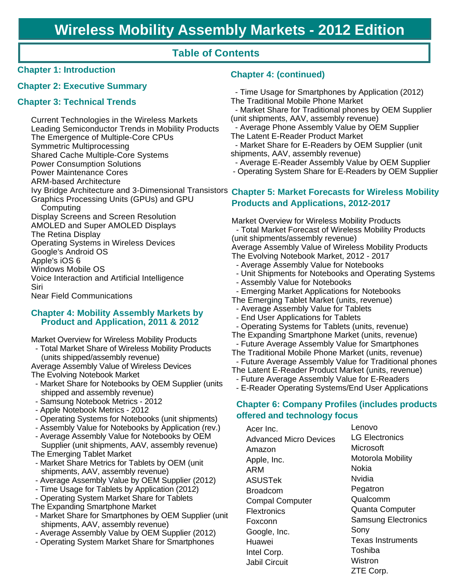### **Wireless Mobility Assembly Markets - 2012 Edition**

### **Table of Contents**

#### **Chapter 1: Introduction**

#### **Chapter 2: Executive Summary**

#### **Chapter 3: Technical Trends**

Current Technologies in the Wireless Markets Leading Semiconductor Trends in Mobility Products The Emergence of Multiple-Core CPUs Symmetric Multiprocessing Shared Cache Multiple-Core Systems Power Consumption Solutions Power Maintenance Cores ARM-based Architecture Ivy Bridge Architecture and 3-Dimensional Transistors **Chapter 5: Market Forecasts for Wireless Mobility**  Graphics Processing Units (GPUs) and GPU Computing Display Screens and Screen Resolution AMOLED and Super AMOLED Displays The Retina Display Operating Systems in Wireless Devices Google's Android OS Apple's iOS 6 Windows Mobile OS Voice Interaction and Artificial Intelligence Siri Near Field Communications

#### **Chapter 4: Mobility Assembly Markets by Product and Application, 2011 & 2012**

Market Overview for Wireless Mobility Products

 - Total Market Share of Wireless Mobility Products (units shipped/assembly revenue)

Average Assembly Value of Wireless Devices The Evolving Notebook Market

- Market Share for Notebooks by OEM Supplier (units shipped and assembly revenue)
- Samsung Notebook Metrics 2012
- Apple Notebook Metrics 2012
- Operating Systems for Notebooks (unit shipments)
- Assembly Value for Notebooks by Application (rev.)
- Average Assembly Value for Notebooks by OEM Supplier (unit shipments, AAV, assembly revenue)
- The Emerging Tablet Market
- Market Share Metrics for Tablets by OEM (unit shipments, AAV, assembly revenue)
- Average Assembly Value by OEM Supplier (2012)
- Time Usage for Tablets by Application (2012)
- Operating System Market Share for Tablets
- The Expanding Smartphone Market
- Market Share for Smartphones by OEM Supplier (unit shipments, AAV, assembly revenue)
- Average Assembly Value by OEM Supplier (2012)
- Operating System Market Share for Smartphones

#### **Chapter 4: (continued)**

- Time Usage for Smartphones by Application (2012)
- The Traditional Mobile Phone Market

 - Market Share for Traditional phones by OEM Supplier (unit shipments, AAV, assembly revenue)

 - Average Phone Assembly Value by OEM Supplier The Latent E-Reader Product Market

 - Market Share for E-Readers by OEM Supplier (unit shipments, AAV, assembly revenue)

- Average E-Reader Assembly Value by OEM Supplier
- Operating System Share for E-Readers by OEM Supplier

## **Products and Applications, 2012-2017**

Market Overview for Wireless Mobility Products - Total Market Forecast of Wireless Mobility Products (unit shipments/assembly revenue) Average Assembly Value of Wireless Mobility Products The Evolving Notebook Market, 2012 - 2017

- Average Assembly Value for Notebooks
- Unit Shipments for Notebooks and Operating Systems
- Assembly Value for Notebooks
- Emerging Market Applications for Notebooks
- The Emerging Tablet Market (units, revenue)
- Average Assembly Value for Tablets
- End User Applications for Tablets
- Operating Systems for Tablets (units, revenue)
- The Expanding Smartphone Market (units, revenue) - Future Average Assembly Value for Smartphones The Traditional Mobile Phone Market (units, revenue)
- Future Average Assembly Value for Traditional phones The Latent E-Reader Product Market (units, revenue)
- Future Average Assembly Value for E-Readers
- E-Reader Operating Systems/End User Applications

#### **Chapter 6: Company Profiles (includes products offered and technology focus**

Acer Inc. Advanced Micro Devices Amazon Apple, Inc. ARM ASUSTek Broadcom Compal Computer **Flextronics** Foxconn Google, Inc. Huawei Intel Corp. Jabil Circuit

Lenovo LG Electronics Microsoft Motorola Mobility Nokia Nvidia Pegatron Qualcomm Quanta Computer Samsung Electronics Sony Texas Instruments Toshiba **Wistron** ZTE Corp.